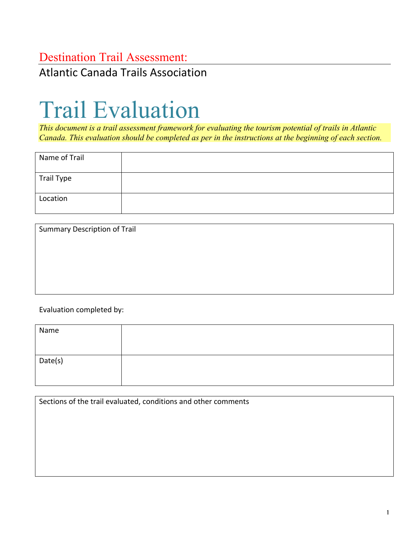### Destination Trail Assessment:

Atlantic Canada Trails Association

# Trail Evaluation

*This document is a trail assessment framework for evaluating the tourism potential of trails in Atlantic Canada. This evaluation should be completed as per in the instructions at the beginning of each section.*

| Name of Trail |  |
|---------------|--|
| Trail Type    |  |
| Location      |  |

Summary Description of Trail

Evaluation completed by:

| Name    |  |
|---------|--|
| Date(s) |  |

Sections of the trail evaluated, conditions and other comments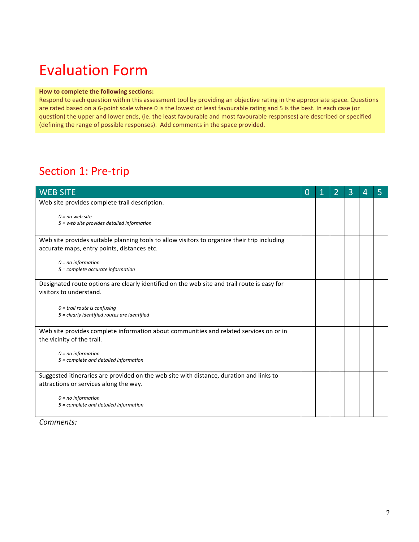## Evaluation Form

#### **How to complete the following sections:**

Respond to each question within this assessment tool by providing an objective rating in the appropriate space. Questions are rated based on a 6-point scale where 0 is the lowest or least favourable rating and 5 is the best. In each case (or question) the upper and lower ends, (ie. the least favourable and most favourable responses) are described or specified (defining the range of possible responses). Add comments in the space provided.

### Section 1: Pre-trip

| <b>WEB SITE</b>                                                                                                        | $\Omega$ | 2 | 3 | 4 | 5 |
|------------------------------------------------------------------------------------------------------------------------|----------|---|---|---|---|
| Web site provides complete trail description.                                                                          |          |   |   |   |   |
| $0 = no$ web site<br>5 = web site provides detailed information                                                        |          |   |   |   |   |
| Web site provides suitable planning tools to allow visitors to organize their trip including                           |          |   |   |   |   |
| accurate maps, entry points, distances etc.                                                                            |          |   |   |   |   |
| $0 = no$ information<br>5 = complete accurate information                                                              |          |   |   |   |   |
| Designated route options are clearly identified on the web site and trail route is easy for<br>visitors to understand. |          |   |   |   |   |
| $0 = \text{trail route is confusing}$<br>5 = clearly identified routes are identified                                  |          |   |   |   |   |
| Web site provides complete information about communities and related services on or in<br>the vicinity of the trail.   |          |   |   |   |   |
| $0 = no$ information                                                                                                   |          |   |   |   |   |
| 5 = complete and detailed information                                                                                  |          |   |   |   |   |
| Suggested itineraries are provided on the web site with distance, duration and links to                                |          |   |   |   |   |
| attractions or services along the way.                                                                                 |          |   |   |   |   |
| $0 = no$ information<br>5 = complete and detailed information                                                          |          |   |   |   |   |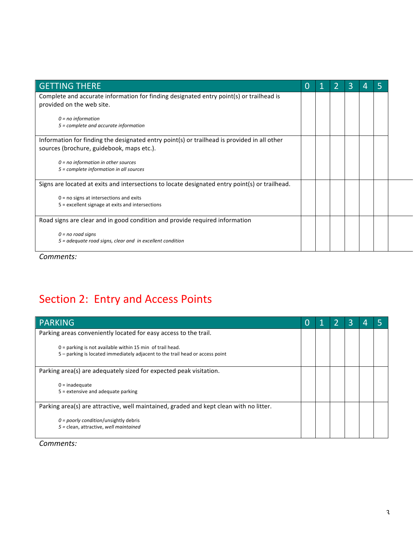| <b>GETTING THERE</b>                                                                                                                     | 0 |  | 3 | 4 | 5 |
|------------------------------------------------------------------------------------------------------------------------------------------|---|--|---|---|---|
| Complete and accurate information for finding designated entry point(s) or trailhead is<br>provided on the web site.                     |   |  |   |   |   |
| $0 = no$ information<br>$5 =$ complete and accurate information                                                                          |   |  |   |   |   |
| Information for finding the designated entry point(s) or trailhead is provided in all other<br>sources (brochure, guidebook, maps etc.). |   |  |   |   |   |
| $0 = no$ information in other sources<br>5 = complete information in all sources                                                         |   |  |   |   |   |
| Signs are located at exits and intersections to locate designated entry point(s) or trailhead.                                           |   |  |   |   |   |
| $0 = no$ signs at intersections and exits<br>5 = excellent signage at exits and intersections                                            |   |  |   |   |   |
| Road signs are clear and in good condition and provide required information                                                              |   |  |   |   |   |
| $0 = no$ road signs<br>$5$ = adequate road signs, clear and in excellent condition                                                       |   |  |   |   |   |

## Section 2: Entry and Access Points

| <b>PARKING</b>                                                                                                                               | 1 | З |  |
|----------------------------------------------------------------------------------------------------------------------------------------------|---|---|--|
| Parking areas conveniently located for easy access to the trail.                                                                             |   |   |  |
| $0 =$ parking is not available within 15 min of trail head.<br>5 – parking is located immediately adjacent to the trail head or access point |   |   |  |
| Parking area(s) are adequately sized for expected peak visitation.                                                                           |   |   |  |
| $0 =$ inadequate<br>$5$ = extensive and adequate parking                                                                                     |   |   |  |
| Parking area(s) are attractive, well maintained, graded and kept clean with no litter.                                                       |   |   |  |
| $0 =$ poorly condition/unsightly debris<br>5 = clean, attractive, well maintained                                                            |   |   |  |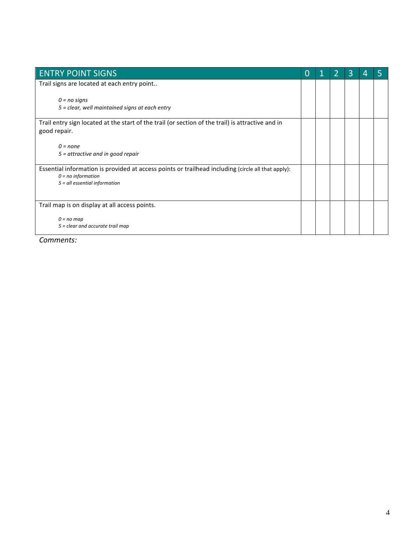| <b>ENTRY POINT SIGNS</b>                                                                           | 0 | 2 | 3 | 4 | 5 |
|----------------------------------------------------------------------------------------------------|---|---|---|---|---|
| Trail signs are located at each entry point                                                        |   |   |   |   |   |
| $0 = no$ signs<br>5 = clear, well maintained signs at each entry                                   |   |   |   |   |   |
|                                                                                                    |   |   |   |   |   |
| Trail entry sign located at the start of the trail (or section of the trail) is attractive and in  |   |   |   |   |   |
| good repair.                                                                                       |   |   |   |   |   |
|                                                                                                    |   |   |   |   |   |
| $0 = none$                                                                                         |   |   |   |   |   |
| $5$ = attractive and in good repair                                                                |   |   |   |   |   |
| Essential information is provided at access points or trailhead including (circle all that apply): |   |   |   |   |   |
| $0 = no$ information                                                                               |   |   |   |   |   |
| $5$ = all essential information                                                                    |   |   |   |   |   |
|                                                                                                    |   |   |   |   |   |
| Trail map is on display at all access points.                                                      |   |   |   |   |   |
| $0 = no$ map                                                                                       |   |   |   |   |   |
| 5 = clear and accurate trail map                                                                   |   |   |   |   |   |
|                                                                                                    |   |   |   |   |   |
|                                                                                                    |   |   |   |   |   |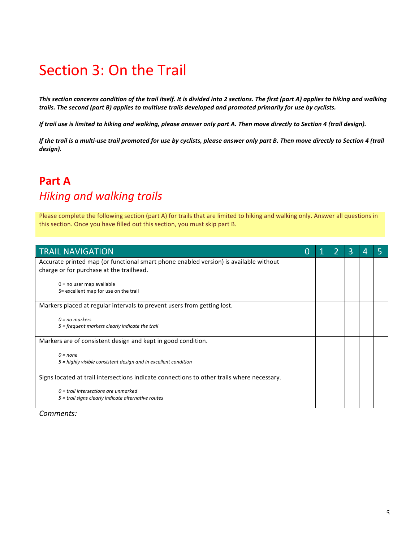## Section 3: On the Trail

This section concerns condition of the trail itself. It is divided into 2 sections. The first (part A) applies to hiking and walking trails. The second (part B) applies to multiuse trails developed and promoted primarily for use by cyclists.

*If* trail use is limited to hiking and walking, please answer only part A. Then move directly to Section 4 (trail design).

*If* the trail is a multi-use trail promoted for use by cyclists, please answer only part B. Then move directly to Section 4 (trail *design).*

### **Part A** *Hiking and walking trails*

Please complete the following section (part A) for trails that are limited to hiking and walking only. Answer all questions in this section. Once you have filled out this section, you must skip part B.

| <b>TRAIL NAVIGATION</b>                                                                    | O |  | 3 |  |
|--------------------------------------------------------------------------------------------|---|--|---|--|
| Accurate printed map (or functional smart phone enabled version) is available without      |   |  |   |  |
| charge or for purchase at the trailhead.                                                   |   |  |   |  |
| $0 = no$ user map available                                                                |   |  |   |  |
| 5= excellent map for use on the trail                                                      |   |  |   |  |
| Markers placed at regular intervals to prevent users from getting lost.                    |   |  |   |  |
| $0 = no$ markers                                                                           |   |  |   |  |
| 5 = frequent markers clearly indicate the trail                                            |   |  |   |  |
| Markers are of consistent design and kept in good condition.                               |   |  |   |  |
| $0 = none$                                                                                 |   |  |   |  |
| 5 = highly visible consistent design and in excellent condition                            |   |  |   |  |
| Signs located at trail intersections indicate connections to other trails where necessary. |   |  |   |  |
| $0 =$ trail intersections are unmarked                                                     |   |  |   |  |
| 5 = trail signs clearly indicate alternative routes                                        |   |  |   |  |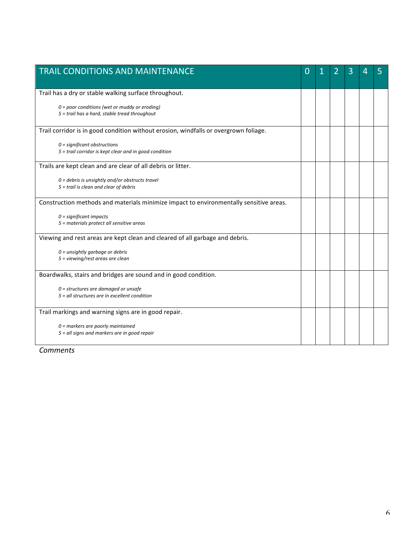| <b>TRAIL CONDITIONS AND MAINTENANCE</b>                                                | O |  | 3 | 4 | 5 |
|----------------------------------------------------------------------------------------|---|--|---|---|---|
|                                                                                        |   |  |   |   |   |
| Trail has a dry or stable walking surface throughout.                                  |   |  |   |   |   |
| $0 = poor$ conditions (wet or muddy or eroding)                                        |   |  |   |   |   |
| 5 = trail has a hard, stable tread throughout                                          |   |  |   |   |   |
| Trail corridor is in good condition without erosion, windfalls or overgrown foliage.   |   |  |   |   |   |
| $0 =$ significant obstructions                                                         |   |  |   |   |   |
| 5 = trail corridor is kept clear and in good condition                                 |   |  |   |   |   |
| Trails are kept clean and are clear of all debris or litter.                           |   |  |   |   |   |
| $0 =$ debris is unsightly and/or obstructs travel                                      |   |  |   |   |   |
| 5 = trail is clean and clear of debris                                                 |   |  |   |   |   |
| Construction methods and materials minimize impact to environmentally sensitive areas. |   |  |   |   |   |
| $0 =$ significant impacts                                                              |   |  |   |   |   |
| 5 = materials protect all sensitive areas                                              |   |  |   |   |   |
| Viewing and rest areas are kept clean and cleared of all garbage and debris.           |   |  |   |   |   |
| $0 =$ unsightly garbage or debris                                                      |   |  |   |   |   |
| 5 = viewing/rest areas are clean                                                       |   |  |   |   |   |
| Boardwalks, stairs and bridges are sound and in good condition.                        |   |  |   |   |   |
| $0$ = structures are damaged or unsafe                                                 |   |  |   |   |   |
| 5 = all structures are in excellent condition                                          |   |  |   |   |   |
|                                                                                        |   |  |   |   |   |
| Trail markings and warning signs are in good repair.                                   |   |  |   |   |   |
| $0$ = markers are poorly maintained                                                    |   |  |   |   |   |
| 5 = all signs and markers are in good repair                                           |   |  |   |   |   |
|                                                                                        |   |  |   |   |   |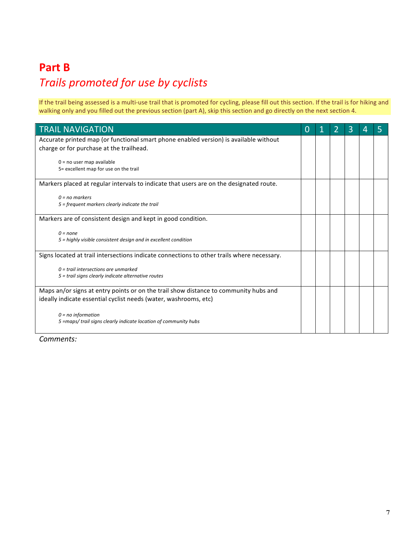### **Part B**

## *Trails promoted for use by cyclists*

If the trail being assessed is a multi-use trail that is promoted for cycling, please fill out this section. If the trail is for hiking and walking only and you filled out the previous section (part A), skip this section and go directly on the next section 4.

| <b>TRAIL NAVIGATION</b>                                                                                                           | $\Omega$ | 2 | 3 | 4 | 5 |
|-----------------------------------------------------------------------------------------------------------------------------------|----------|---|---|---|---|
| Accurate printed map (or functional smart phone enabled version) is available without<br>charge or for purchase at the trailhead. |          |   |   |   |   |
| $0 = no$ user map available<br>5= excellent map for use on the trail                                                              |          |   |   |   |   |
| Markers placed at regular intervals to indicate that users are on the designated route.                                           |          |   |   |   |   |
| $0 = no$ markers<br>5 = frequent markers clearly indicate the trail                                                               |          |   |   |   |   |
| Markers are of consistent design and kept in good condition.                                                                      |          |   |   |   |   |
| $0 = none$<br>5 = highly visible consistent design and in excellent condition                                                     |          |   |   |   |   |
| Signs located at trail intersections indicate connections to other trails where necessary.                                        |          |   |   |   |   |
| $0 = \text{trail}$ intersections are unmarked<br>5 = trail signs clearly indicate alternative routes                              |          |   |   |   |   |
| Maps an/or signs at entry points or on the trail show distance to community hubs and                                              |          |   |   |   |   |
| ideally indicate essential cyclist needs (water, washrooms, etc)                                                                  |          |   |   |   |   |
| $0 = no$ information                                                                                                              |          |   |   |   |   |
| 5 = maps/ trail signs clearly indicate location of community hubs                                                                 |          |   |   |   |   |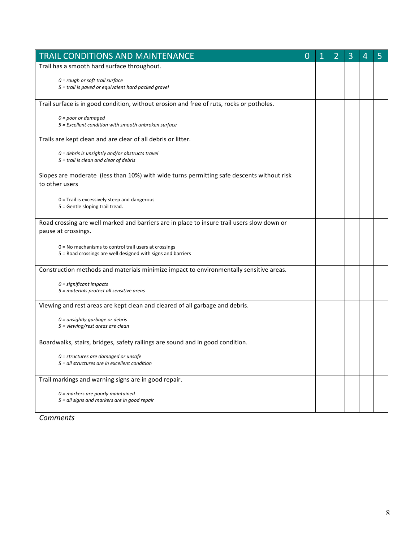| TRAIL CONDITIONS AND MAINTENANCE                                                                                        | 0 | 1 | 2 | 3 | 4 | 5 |
|-------------------------------------------------------------------------------------------------------------------------|---|---|---|---|---|---|
| Trail has a smooth hard surface throughout.                                                                             |   |   |   |   |   |   |
| $0 = rough$ or soft trail surface<br>5 = trail is paved or equivalent hard packed gravel                                |   |   |   |   |   |   |
| Trail surface is in good condition, without erosion and free of ruts, rocks or potholes.                                |   |   |   |   |   |   |
| $0 = poor$ or damaged<br>5 = Excellent condition with smooth unbroken surface                                           |   |   |   |   |   |   |
| Trails are kept clean and are clear of all debris or litter.                                                            |   |   |   |   |   |   |
| $0 =$ debris is unsightly and/or obstructs travel<br>5 = trail is clean and clear of debris                             |   |   |   |   |   |   |
| Slopes are moderate (less than 10%) with wide turns permitting safe descents without risk<br>to other users             |   |   |   |   |   |   |
| $0$ = Trail is excessively steep and dangerous<br>5 = Gentle sloping trail tread.                                       |   |   |   |   |   |   |
| Road crossing are well marked and barriers are in place to insure trail users slow down or<br>pause at crossings.       |   |   |   |   |   |   |
| $0 = No$ mechanisms to control trail users at crossings<br>5 = Road crossings are well designed with signs and barriers |   |   |   |   |   |   |
| Construction methods and materials minimize impact to environmentally sensitive areas.                                  |   |   |   |   |   |   |
| $0 =$ significant impacts<br>5 = materials protect all sensitive areas                                                  |   |   |   |   |   |   |
| Viewing and rest areas are kept clean and cleared of all garbage and debris.                                            |   |   |   |   |   |   |
| $0 =$ unsightly garbage or debris<br>5 = viewing/rest areas are clean                                                   |   |   |   |   |   |   |
| Boardwalks, stairs, bridges, safety railings are sound and in good condition.                                           |   |   |   |   |   |   |
| $0$ = structures are damaged or unsafe<br>5 = all structures are in excellent condition                                 |   |   |   |   |   |   |
| Trail markings and warning signs are in good repair.                                                                    |   |   |   |   |   |   |
| $0$ = markers are poorly maintained<br>5 = all signs and markers are in good repair                                     |   |   |   |   |   |   |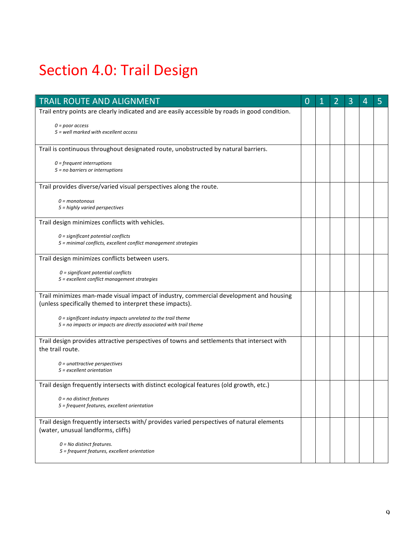## Section 4.0: Trail Design

| TRAIL ROUTE AND ALIGNMENT                                                                                                       | $\overline{0}$ | 2 | 3 | 4 | 5 |
|---------------------------------------------------------------------------------------------------------------------------------|----------------|---|---|---|---|
| Trail entry points are clearly indicated and are easily accessible by roads in good condition.                                  |                |   |   |   |   |
| $0 = poor$ access                                                                                                               |                |   |   |   |   |
| 5 = well marked with excellent access                                                                                           |                |   |   |   |   |
| Trail is continuous throughout designated route, unobstructed by natural barriers.                                              |                |   |   |   |   |
| $0 = frequency$ frequent interruptions                                                                                          |                |   |   |   |   |
| $5 = no$ barriers or interruptions                                                                                              |                |   |   |   |   |
| Trail provides diverse/varied visual perspectives along the route.                                                              |                |   |   |   |   |
| $0 =$ monotonous                                                                                                                |                |   |   |   |   |
| $5$ = highly varied perspectives                                                                                                |                |   |   |   |   |
| Trail design minimizes conflicts with vehicles.                                                                                 |                |   |   |   |   |
| $0 =$ significant potential conflicts                                                                                           |                |   |   |   |   |
| 5 = minimal conflicts, excellent conflict management strategies                                                                 |                |   |   |   |   |
| Trail design minimizes conflicts between users.                                                                                 |                |   |   |   |   |
| $0 =$ significant potential conflicts                                                                                           |                |   |   |   |   |
| 5 = excellent conflict management strategies                                                                                    |                |   |   |   |   |
| Trail minimizes man-made visual impact of industry, commercial development and housing                                          |                |   |   |   |   |
| (unless specifically themed to interpret these impacts).                                                                        |                |   |   |   |   |
| $0$ = significant industry impacts unrelated to the trail theme                                                                 |                |   |   |   |   |
| 5 = no impacts or impacts are directly associated with trail theme                                                              |                |   |   |   |   |
| Trail design provides attractive perspectives of towns and settlements that intersect with                                      |                |   |   |   |   |
| the trail route.                                                                                                                |                |   |   |   |   |
| $0 =$ unattractive perspectives<br>$5$ = excellent orientation                                                                  |                |   |   |   |   |
|                                                                                                                                 |                |   |   |   |   |
| Trail design frequently intersects with distinct ecological features (old growth, etc.)                                         |                |   |   |   |   |
| $0 = no$ distinct features<br>5 = frequent features, excellent orientation                                                      |                |   |   |   |   |
|                                                                                                                                 |                |   |   |   |   |
| Trail design frequently intersects with/ provides varied perspectives of natural elements<br>(water, unusual landforms, cliffs) |                |   |   |   |   |
|                                                                                                                                 |                |   |   |   |   |
| $0 = No$ distinct features.<br>5 = frequent features, excellent orientation                                                     |                |   |   |   |   |
|                                                                                                                                 |                |   |   |   |   |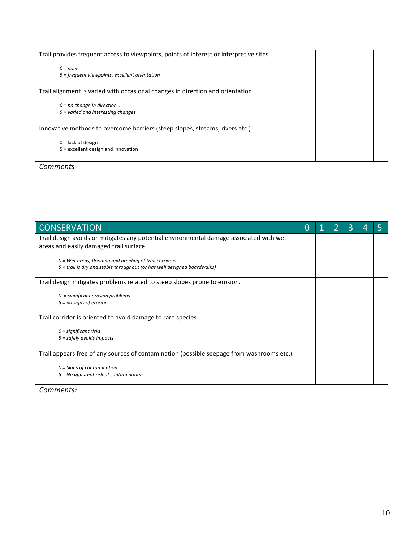| Trail provides frequent access to viewpoints, points of interest or interpretive sites |  |  |  |
|----------------------------------------------------------------------------------------|--|--|--|
| $0 = none$<br>5 = frequent viewpoints, excellent orientation                           |  |  |  |
| Trail alignment is varied with occasional changes in direction and orientation         |  |  |  |
| $0 = no$ change in direction<br>5 = varied and interesting changes                     |  |  |  |
| Innovative methods to overcome barriers (steep slopes, streams, rivers etc.)           |  |  |  |
| $0 =$ lack of design<br>5 = excellent design and innovation                            |  |  |  |

| <b>CONSERVATION</b>                                                                       | O |  |  |  |
|-------------------------------------------------------------------------------------------|---|--|--|--|
| Trail design avoids or mitigates any potential environmental damage associated with wet   |   |  |  |  |
| areas and easily damaged trail surface.                                                   |   |  |  |  |
| $0$ = Wet areas, flooding and braiding of trail corridors                                 |   |  |  |  |
| 5 = trail is dry and stable throughout (or has well designed boardwalks)                  |   |  |  |  |
| Trail design mitigates problems related to steep slopes prone to erosion.                 |   |  |  |  |
| $0 =$ significant erosion problems                                                        |   |  |  |  |
| $5 = no$ signs of erosion                                                                 |   |  |  |  |
| Trail corridor is oriented to avoid damage to rare species.                               |   |  |  |  |
| $0 =$ significant risks                                                                   |   |  |  |  |
| $5 =$ safely avoids impacts                                                               |   |  |  |  |
| Trail appears free of any sources of contamination (possible seepage from washrooms etc.) |   |  |  |  |
| $0 =$ Signs of contamination                                                              |   |  |  |  |
| $5 = No$ apparent risk of contamination                                                   |   |  |  |  |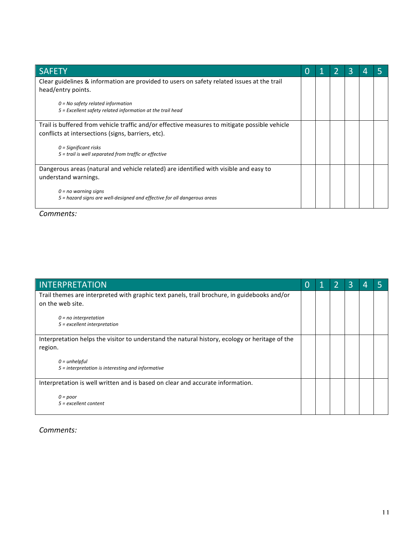| <b>SAFETY</b>                                                                                 | O |  | 3 |  |
|-----------------------------------------------------------------------------------------------|---|--|---|--|
| Clear guidelines & information are provided to users on safety related issues at the trail    |   |  |   |  |
| head/entry points.                                                                            |   |  |   |  |
| $0 = No$ safety related information                                                           |   |  |   |  |
| 5 = Excellent safety related information at the trail head                                    |   |  |   |  |
| Trail is buffered from vehicle traffic and/or effective measures to mitigate possible vehicle |   |  |   |  |
| conflicts at intersections (signs, barriers, etc).                                            |   |  |   |  |
| $0 =$ Significant risks                                                                       |   |  |   |  |
| 5 = trail is well separated from traffic or effective                                         |   |  |   |  |
|                                                                                               |   |  |   |  |
| Dangerous areas (natural and vehicle related) are identified with visible and easy to         |   |  |   |  |
| understand warnings.                                                                          |   |  |   |  |
| $0 = no$ warning signs                                                                        |   |  |   |  |
| 5 = hazard signs are well-designed and effective for all dangerous areas                      |   |  |   |  |
|                                                                                               |   |  |   |  |

| INTERPRETATION                                                                                                  |  | 3 | 4 |  |
|-----------------------------------------------------------------------------------------------------------------|--|---|---|--|
| Trail themes are interpreted with graphic text panels, trail brochure, in guidebooks and/or<br>on the web site. |  |   |   |  |
| $0 = no$ interpretation                                                                                         |  |   |   |  |
| $5$ = excellent interpretation                                                                                  |  |   |   |  |
| Interpretation helps the visitor to understand the natural history, ecology or heritage of the                  |  |   |   |  |
| region.                                                                                                         |  |   |   |  |
| $0 =$ unhelpful                                                                                                 |  |   |   |  |
| $5$ = interpretation is interesting and informative                                                             |  |   |   |  |
| Interpretation is well written and is based on clear and accurate information.                                  |  |   |   |  |
| $0 = poor$<br>$5 =$ excellent content                                                                           |  |   |   |  |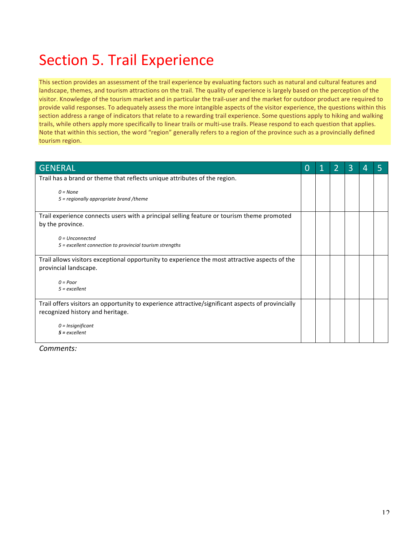## Section 5. Trail Experience

This section provides an assessment of the trail experience by evaluating factors such as natural and cultural features and landscape, themes, and tourism attractions on the trail. The quality of experience is largely based on the perception of the visitor. Knowledge of the tourism market and in particular the trail-user and the market for outdoor product are required to provide valid responses. To adequately assess the more intangible aspects of the visitor experience, the questions within this section address a range of indicators that relate to a rewarding trail experience. Some questions apply to hiking and walking trails, while others apply more specifically to linear trails or multi-use trails. Please respond to each question that applies. Note that within this section, the word "region" generally refers to a region of the province such as a provincially defined tourism region.

| <b>GENERAL</b>                                                                                    | O |  | 3 | 4 |  |
|---------------------------------------------------------------------------------------------------|---|--|---|---|--|
| Trail has a brand or theme that reflects unique attributes of the region.                         |   |  |   |   |  |
| $0 = None$<br>5 = regionally appropriate brand /theme                                             |   |  |   |   |  |
| Trail experience connects users with a principal selling feature or tourism theme promoted        |   |  |   |   |  |
| by the province.                                                                                  |   |  |   |   |  |
| $0 = Unconnected$                                                                                 |   |  |   |   |  |
| 5 = excellent connection to provincial tourism strengths                                          |   |  |   |   |  |
| Trail allows visitors exceptional opportunity to experience the most attractive aspects of the    |   |  |   |   |  |
| provincial landscape.                                                                             |   |  |   |   |  |
| $0 = Poor$                                                                                        |   |  |   |   |  |
| $5 =$ excellent                                                                                   |   |  |   |   |  |
| Trail offers visitors an opportunity to experience attractive/significant aspects of provincially |   |  |   |   |  |
| recognized history and heritage.                                                                  |   |  |   |   |  |
| $0 =$ Insignificant                                                                               |   |  |   |   |  |
| $5 =$ excellent                                                                                   |   |  |   |   |  |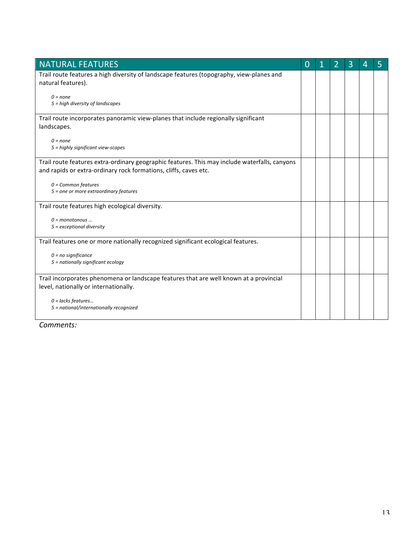| <b>NATURAL FEATURES</b>                                                                                                                                           | $\overline{0}$ | 1 | $\overline{2}$ | 3 | 4 | 5 |
|-------------------------------------------------------------------------------------------------------------------------------------------------------------------|----------------|---|----------------|---|---|---|
| Trail route features a high diversity of landscape features (topography, view-planes and<br>natural features).                                                    |                |   |                |   |   |   |
| $0 = none$<br>5 = high diversity of landscapes                                                                                                                    |                |   |                |   |   |   |
| Trail route incorporates panoramic view-planes that include regionally significant<br>landscapes.                                                                 |                |   |                |   |   |   |
| $0 = none$<br>5 = highly significant view-scapes                                                                                                                  |                |   |                |   |   |   |
| Trail route features extra-ordinary geographic features. This may include waterfalls, canyons<br>and rapids or extra-ordinary rock formations, cliffs, caves etc. |                |   |                |   |   |   |
| $0 = Common features$<br>5 = one or more extraordinary features                                                                                                   |                |   |                |   |   |   |
| Trail route features high ecological diversity.                                                                                                                   |                |   |                |   |   |   |
| $0 =$ monotonous<br>$5 =$ exceptional diversity                                                                                                                   |                |   |                |   |   |   |
| Trail features one or more nationally recognized significant ecological features.                                                                                 |                |   |                |   |   |   |
| $0 = no$ significance<br>5 = nationally significant ecology                                                                                                       |                |   |                |   |   |   |
| Trail incorporates phenomena or landscape features that are well known at a provincial<br>level, nationally or internationally.                                   |                |   |                |   |   |   |
| $0 =$ lacks features<br>5 = national/internationally recognized                                                                                                   |                |   |                |   |   |   |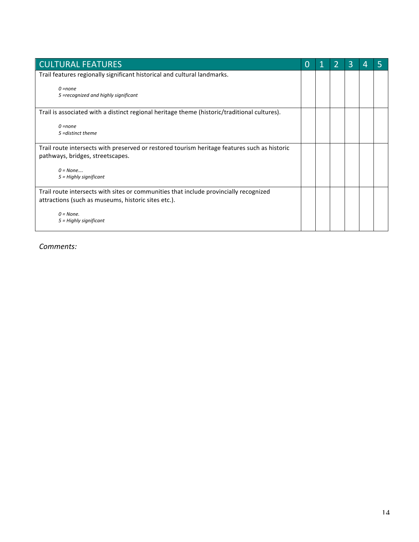| <b>CULTURAL FEATURES</b>                                                                                                                     | O |  | 3 |  |
|----------------------------------------------------------------------------------------------------------------------------------------------|---|--|---|--|
| Trail features regionally significant historical and cultural landmarks.                                                                     |   |  |   |  |
| $Q = none$<br>5 =recognized and highly significant                                                                                           |   |  |   |  |
| Trail is associated with a distinct regional heritage theme (historic/traditional cultures).                                                 |   |  |   |  |
| $0 = none$<br>$5 =$ distinct theme                                                                                                           |   |  |   |  |
| Trail route intersects with preserved or restored tourism heritage features such as historic<br>pathways, bridges, streetscapes.             |   |  |   |  |
| $0 = None$<br>$5 =$ Highly significant                                                                                                       |   |  |   |  |
| Trail route intersects with sites or communities that include provincially recognized<br>attractions (such as museums, historic sites etc.). |   |  |   |  |
| $0 = None$ .<br>$5 =$ Highly significant                                                                                                     |   |  |   |  |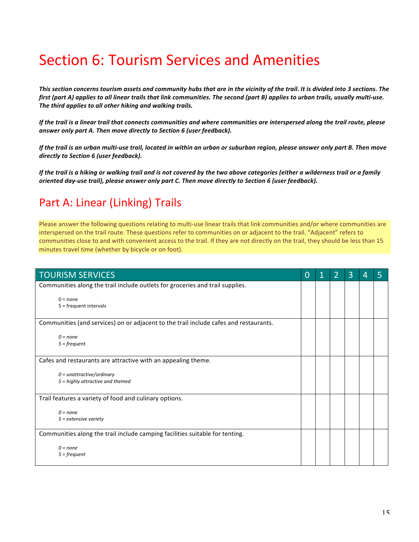## Section 6: Tourism Services and Amenities

This section concerns tourism assets and community hubs that are in the vicinity of the trail. It is divided into 3 sections. The *first* (part A) applies to all linear trails that link communities. The second (part B) applies to urban trails, usually multi-use. The third applies to all other hiking and walking trails.

*If* the trail is a linear trail that connects communities and where communities are interspersed along the trail route, please answer only part A. Then move directly to Section 6 (user feedback).

*If* the trail is an urban multi-use trail, located in within an urban or suburban region, please answer only part B. Then move directly to Section 6 (user feedback).

*If* the trail is a hiking or walking trail and is not covered by the two above categories (either a wilderness trail or a family *oriented day-use trail), please answer only part C. Then move directly to Section 6 (user feedback).* 

### Part A: Linear (Linking) Trails

Please answer the following questions relating to multi-use linear trails that link communities and/or where communities are interspersed on the trail route. These questions refer to communities on or adjacent to the trail. "Adjacent" refers to communities close to and with convenient access to the trail. If they are not directly on the trail, they should be less than 15 minutes travel time (whether by bicycle or on foot).

| <b>TOURISM SERVICES</b>                                                               | $\Omega$ | $\overline{2}$ | $\overline{3}$ | 4 | 5 |
|---------------------------------------------------------------------------------------|----------|----------------|----------------|---|---|
| Communities along the trail include outlets for groceries and trail supplies.         |          |                |                |   |   |
| $0 = none$<br>$5 = frequency$ frequent intervals                                      |          |                |                |   |   |
| Communities (and services) on or adjacent to the trail include cafes and restaurants. |          |                |                |   |   |
| $0 = none$<br>$5 = frequency$                                                         |          |                |                |   |   |
| Cafes and restaurants are attractive with an appealing theme.                         |          |                |                |   |   |
| $0 =$ unattractive/ordinary<br>5 = highly attractive and themed                       |          |                |                |   |   |
| Trail features a variety of food and culinary options.                                |          |                |                |   |   |
| $0 = none$<br>$5$ = extensive variety                                                 |          |                |                |   |   |
| Communities along the trail include camping facilities suitable for tenting.          |          |                |                |   |   |
| $0 = none$<br>$5 = frequency$                                                         |          |                |                |   |   |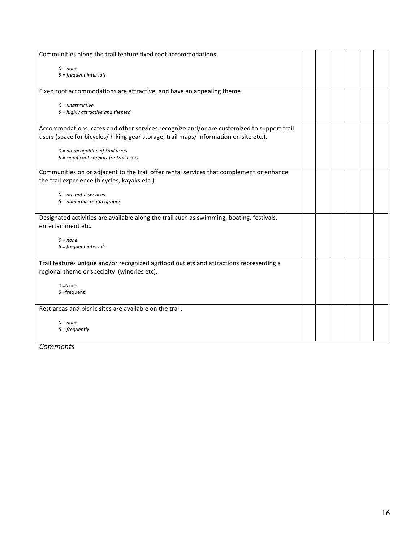| Communities along the trail feature fixed roof accommodations.                                                                                                                      |  |  |  |
|-------------------------------------------------------------------------------------------------------------------------------------------------------------------------------------|--|--|--|
| $0 = none$<br>$5 = frequency$ frequent intervals                                                                                                                                    |  |  |  |
| Fixed roof accommodations are attractive, and have an appealing theme.                                                                                                              |  |  |  |
| $0 =$ unattractive<br>5 = highly attractive and themed                                                                                                                              |  |  |  |
| Accommodations, cafes and other services recognize and/or are customized to support trail<br>users (space for bicycles/ hiking gear storage, trail maps/ information on site etc.). |  |  |  |
| $0 = no recognition of trail uses$<br>5 = significant support for trail users                                                                                                       |  |  |  |
| Communities on or adjacent to the trail offer rental services that complement or enhance<br>the trail experience (bicycles, kayaks etc.).                                           |  |  |  |
| $0 = no$ rental services<br>$5 =$ numerous rental options                                                                                                                           |  |  |  |
| Designated activities are available along the trail such as swimming, boating, festivals,<br>entertainment etc.                                                                     |  |  |  |
| $0 = none$<br>$5 = frequency$ frequent intervals                                                                                                                                    |  |  |  |
| Trail features unique and/or recognized agrifood outlets and attractions representing a<br>regional theme or specialty (wineries etc).                                              |  |  |  |
| $0 = None$<br>$5 = frequency$                                                                                                                                                       |  |  |  |
| Rest areas and picnic sites are available on the trail.                                                                                                                             |  |  |  |
| $0 = none$<br>$5 = frequently$                                                                                                                                                      |  |  |  |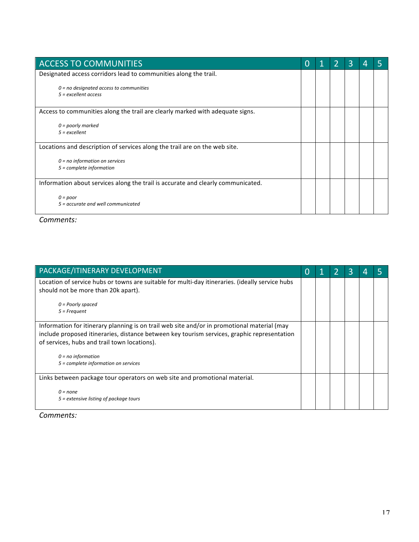| <b>ACCESS TO COMMUNITIES</b>                                                     | O |  | З |  |
|----------------------------------------------------------------------------------|---|--|---|--|
| Designated access corridors lead to communities along the trail.                 |   |  |   |  |
| $0 = no$ designated access to communities<br>$5$ = excellent access              |   |  |   |  |
| Access to communities along the trail are clearly marked with adequate signs.    |   |  |   |  |
| $0 =$ poorly marked<br>$5 =$ excellent                                           |   |  |   |  |
| Locations and description of services along the trail are on the web site.       |   |  |   |  |
| $0 = no$ information on services<br>$5 =$ complete information                   |   |  |   |  |
| Information about services along the trail is accurate and clearly communicated. |   |  |   |  |
| $0 = poor$<br>5 = accurate and well communicated                                 |   |  |   |  |

| PACKAGE/ITINERARY DEVELOPMENT                                                                                                                                                                                                                                                                              |  | 3 |  |
|------------------------------------------------------------------------------------------------------------------------------------------------------------------------------------------------------------------------------------------------------------------------------------------------------------|--|---|--|
| Location of service hubs or towns are suitable for multi-day itineraries. (ideally service hubs<br>should not be more than 20k apart).                                                                                                                                                                     |  |   |  |
| $0 =$ Poorly spaced<br>$5$ = Frequent                                                                                                                                                                                                                                                                      |  |   |  |
| Information for itinerary planning is on trail web site and/or in promotional material (may<br>include proposed itineraries, distance between key tourism services, graphic representation<br>of services, hubs and trail town locations).<br>$0 = no$ information<br>5 = complete information on services |  |   |  |
| Links between package tour operators on web site and promotional material.                                                                                                                                                                                                                                 |  |   |  |
| $0 = none$<br>$5$ = extensive listing of package tours                                                                                                                                                                                                                                                     |  |   |  |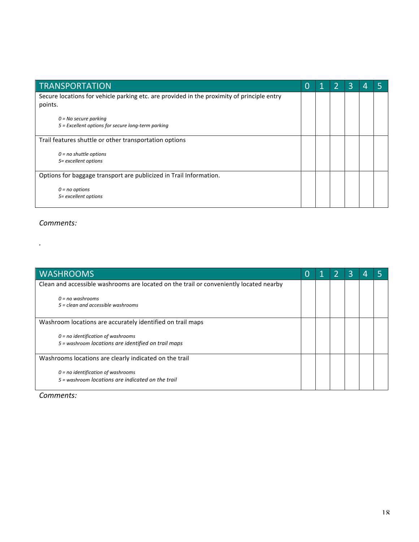| <b>TRANSPORTATION</b>                                                                      | O |  | 3 | 4 |  |
|--------------------------------------------------------------------------------------------|---|--|---|---|--|
| Secure locations for vehicle parking etc. are provided in the proximity of principle entry |   |  |   |   |  |
| points.                                                                                    |   |  |   |   |  |
|                                                                                            |   |  |   |   |  |
| $0 = No$ secure parking                                                                    |   |  |   |   |  |
| 5 = Excellent options for secure long-term parking                                         |   |  |   |   |  |
| Trail features shuttle or other transportation options                                     |   |  |   |   |  |
| $0 = no$ shuttle options                                                                   |   |  |   |   |  |
| 5= excellent options                                                                       |   |  |   |   |  |
|                                                                                            |   |  |   |   |  |
| Options for baggage transport are publicized in Trail Information.                         |   |  |   |   |  |
|                                                                                            |   |  |   |   |  |
| $0 = no$ options                                                                           |   |  |   |   |  |
| 5= excellent options                                                                       |   |  |   |   |  |
|                                                                                            |   |  |   |   |  |

*.*

| <b>WASHROOMS</b>                                                                       |  | 3 |  |
|----------------------------------------------------------------------------------------|--|---|--|
| Clean and accessible washrooms are located on the trail or conveniently located nearby |  |   |  |
| $0 = no$ washrooms                                                                     |  |   |  |
| $5 = clean$ and accessible washrooms                                                   |  |   |  |
| Washroom locations are accurately identified on trail maps                             |  |   |  |
| $0 = no$ identification of washrooms                                                   |  |   |  |
| 5 = washroom locations are identified on trail maps                                    |  |   |  |
| Washrooms locations are clearly indicated on the trail                                 |  |   |  |
| $0 = no$ identification of washrooms                                                   |  |   |  |
| $5 = washroom$ locations are indicated on the trail                                    |  |   |  |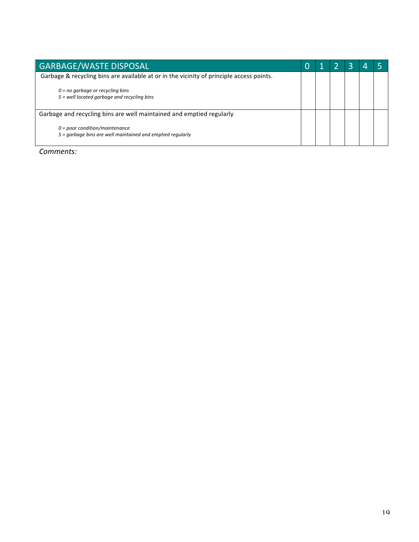| <b>GARBAGE/WASTE DISPOSAL</b>                                                                   |  |  |  |
|-------------------------------------------------------------------------------------------------|--|--|--|
| Garbage & recycling bins are available at or in the vicinity of principle access points.        |  |  |  |
| $0 = no$ garbage or recycling bins<br>5 = well located garbage and recycling bins               |  |  |  |
| Garbage and recycling bins are well maintained and emptied regularly                            |  |  |  |
| $0 = poor condition/maintename$<br>$5$ = garbage bins are well maintained and emptied regularly |  |  |  |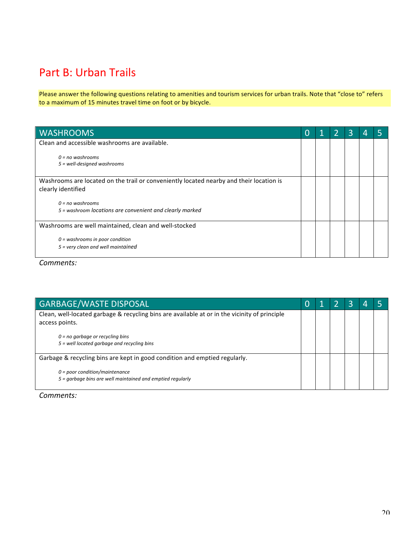### Part B: Urban Trails

Please answer the following questions relating to amenities and tourism services for urban trails. Note that "close to" refers to a maximum of 15 minutes travel time on foot or by bicycle.

| <b>WASHROOMS</b>                                                                        | O | 1 | 3 | 4 |  |
|-----------------------------------------------------------------------------------------|---|---|---|---|--|
| Clean and accessible washrooms are available.                                           |   |   |   |   |  |
| $0 = no$ washrooms                                                                      |   |   |   |   |  |
| $5$ = well-designed washrooms                                                           |   |   |   |   |  |
| Washrooms are located on the trail or conveniently located nearby and their location is |   |   |   |   |  |
| clearly identified                                                                      |   |   |   |   |  |
| $0 = no$ washrooms                                                                      |   |   |   |   |  |
| 5 = washroom locations are convenient and clearly marked                                |   |   |   |   |  |
| Washrooms are well maintained, clean and well-stocked                                   |   |   |   |   |  |
| $0 =$ washrooms in poor condition                                                       |   |   |   |   |  |
| 5 = very clean and well maintained                                                      |   |   |   |   |  |

*Comments:*

| <b>GARBAGE/WASTE DISPOSAL</b>                                                                 |  |  |  |
|-----------------------------------------------------------------------------------------------|--|--|--|
| Clean, well-located garbage & recycling bins are available at or in the vicinity of principle |  |  |  |
| access points.                                                                                |  |  |  |
| $0 = no$ garbage or recycling bins                                                            |  |  |  |
| 5 = well located garbage and recycling bins                                                   |  |  |  |
| Garbage & recycling bins are kept in good condition and emptied regularly.                    |  |  |  |
| $0 = poor condition/maintename$                                                               |  |  |  |
| $5 =$ garbage bins are well maintained and emptied regularly                                  |  |  |  |
|                                                                                               |  |  |  |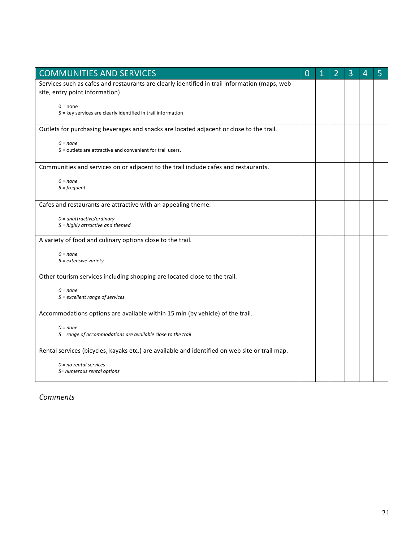| <b>COMMUNITIES AND SERVICES</b>                                                                                                 | $\overline{0}$ | 2 | 3 | 4 | 5 |
|---------------------------------------------------------------------------------------------------------------------------------|----------------|---|---|---|---|
| Services such as cafes and restaurants are clearly identified in trail information (maps, web<br>site, entry point information) |                |   |   |   |   |
| $0 = none$<br>5 = key services are clearly identified in trail information                                                      |                |   |   |   |   |
| Outlets for purchasing beverages and snacks are located adjacent or close to the trail.                                         |                |   |   |   |   |
| $0 = none$<br>5 = outlets are attractive and convenient for trail users.                                                        |                |   |   |   |   |
| Communities and services on or adjacent to the trail include cafes and restaurants.                                             |                |   |   |   |   |
| $0 = none$<br>$5 = frequency$                                                                                                   |                |   |   |   |   |
| Cafes and restaurants are attractive with an appealing theme.                                                                   |                |   |   |   |   |
| $0 =$ unattractive/ordinary<br>5 = highly attractive and themed                                                                 |                |   |   |   |   |
| A variety of food and culinary options close to the trail.                                                                      |                |   |   |   |   |
| $0 = none$<br>$5$ = extensive variety                                                                                           |                |   |   |   |   |
| Other tourism services including shopping are located close to the trail.                                                       |                |   |   |   |   |
| $0 = none$<br>5 = excellent range of services                                                                                   |                |   |   |   |   |
| Accommodations options are available within 15 min (by vehicle) of the trail.                                                   |                |   |   |   |   |
| $0 = none$<br>5 = range of accommodations are available close to the trail                                                      |                |   |   |   |   |
| Rental services (bicycles, kayaks etc.) are available and identified on web site or trail map.                                  |                |   |   |   |   |
| $0 = no$ rental services<br>5= numerous rental options                                                                          |                |   |   |   |   |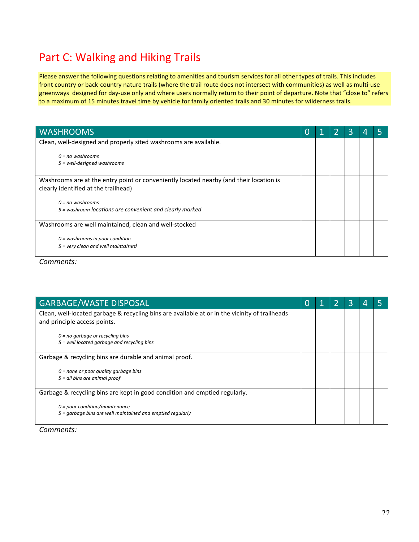### Part C: Walking and Hiking Trails

Please answer the following questions relating to amenities and tourism services for all other types of trails. This includes front country or back-country nature trails (where the trail route does not intersect with communities) as well as multi-use greenways designed for day-use only and where users normally return to their point of departure. Note that "close to" refers to a maximum of 15 minutes travel time by vehicle for family oriented trails and 30 minutes for wilderness trails.

| <b>WASHROOMS</b>                                                                                                               | O |  | 3 |  |
|--------------------------------------------------------------------------------------------------------------------------------|---|--|---|--|
| Clean, well-designed and properly sited washrooms are available.                                                               |   |  |   |  |
| $0 = no$ washrooms<br>5 = well-designed washrooms                                                                              |   |  |   |  |
| Washrooms are at the entry point or conveniently located nearby (and their location is<br>clearly identified at the trailhead) |   |  |   |  |
| $0 = no$ washrooms<br>5 = washroom locations are convenient and clearly marked                                                 |   |  |   |  |
| Washrooms are well maintained, clean and well-stocked                                                                          |   |  |   |  |
| $0 =$ washrooms in poor condition<br>$5$ = very clean and well maintained                                                      |   |  |   |  |

*Comments:*

| <b>GARBAGE/WASTE DISPOSAL</b>                                                                  | O |  | З |  |
|------------------------------------------------------------------------------------------------|---|--|---|--|
| Clean, well-located garbage & recycling bins are available at or in the vicinity of trailheads |   |  |   |  |
| and principle access points.                                                                   |   |  |   |  |
| $0 = no$ garbage or recycling bins                                                             |   |  |   |  |
| 5 = well located garbage and recycling bins                                                    |   |  |   |  |
| Garbage & recycling bins are durable and animal proof.                                         |   |  |   |  |
| $0 =$ none or poor quality garbage bins                                                        |   |  |   |  |
| $5$ = all bins are animal proof                                                                |   |  |   |  |
| Garbage & recycling bins are kept in good condition and emptied regularly.                     |   |  |   |  |
| $0 = poor condition/maintename$                                                                |   |  |   |  |
| 5 = garbage bins are well maintained and emptied regularly                                     |   |  |   |  |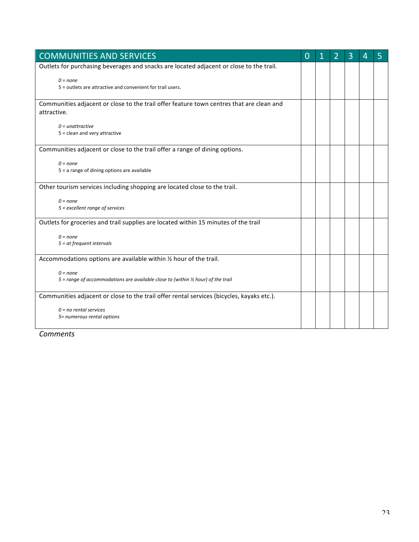| <b>COMMUNITIES AND SERVICES</b>                                                             | O | 2 | 3 | 4 | 5 |
|---------------------------------------------------------------------------------------------|---|---|---|---|---|
| Outlets for purchasing beverages and snacks are located adjacent or close to the trail.     |   |   |   |   |   |
| $0 = none$<br>5 = outlets are attractive and convenient for trail users.                    |   |   |   |   |   |
| Communities adjacent or close to the trail offer feature town centres that are clean and    |   |   |   |   |   |
| attractive.                                                                                 |   |   |   |   |   |
| $0 =$ unattractive                                                                          |   |   |   |   |   |
| $5 =$ clean and very attractive                                                             |   |   |   |   |   |
| Communities adjacent or close to the trail offer a range of dining options.                 |   |   |   |   |   |
| $0 = none$                                                                                  |   |   |   |   |   |
| 5 = a range of dining options are available                                                 |   |   |   |   |   |
| Other tourism services including shopping are located close to the trail.                   |   |   |   |   |   |
| $0 = none$                                                                                  |   |   |   |   |   |
| 5 = excellent range of services                                                             |   |   |   |   |   |
| Outlets for groceries and trail supplies are located within 15 minutes of the trail         |   |   |   |   |   |
| $0 = none$                                                                                  |   |   |   |   |   |
| $5 = at$ frequent intervals                                                                 |   |   |   |   |   |
| Accommodations options are available within 1/2 hour of the trail.                          |   |   |   |   |   |
| $0 = none$                                                                                  |   |   |   |   |   |
| 5 = range of accommodations are available close to (within $\frac{1}{2}$ hour) of the trail |   |   |   |   |   |
| Communities adjacent or close to the trail offer rental services (bicycles, kayaks etc.).   |   |   |   |   |   |
| $0 = no$ rental services                                                                    |   |   |   |   |   |
| 5= numerous rental options                                                                  |   |   |   |   |   |
|                                                                                             |   |   |   |   |   |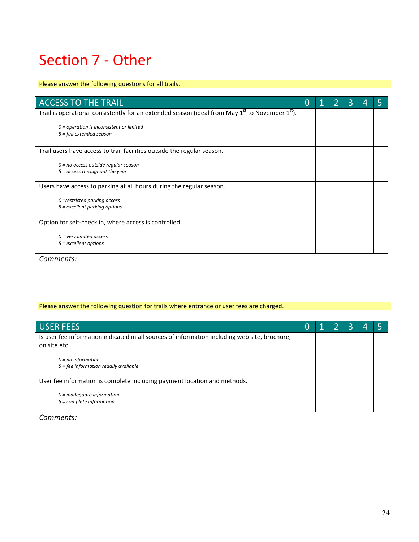## Section 7 - Other

#### Please answer the following questions for all trails.

| <b>ACCESS TO THE TRAIL</b>                                                                          |  | 3 |  |
|-----------------------------------------------------------------------------------------------------|--|---|--|
| Trail is operational consistently for an extended season (ideal from May $1st$ to November $1st$ ). |  |   |  |
| $0$ = operation is inconsistent or limited<br>$5 = full extended season$                            |  |   |  |
| Trail users have access to trail facilities outside the regular season.                             |  |   |  |
| $0 = no$ access outside regular season<br>$5 =$ access throughout the year                          |  |   |  |
| Users have access to parking at all hours during the regular season.                                |  |   |  |
| $0$ =restricted parking access<br>$5$ = excellent parking options                                   |  |   |  |
| Option for self-check in, where access is controlled.                                               |  |   |  |
| $0$ = very limited access<br>$5$ = excellent options                                                |  |   |  |

*Comments:*

#### Please answer the following question for trails where entrance or user fees are charged.

| USER FEES                                                                                                                                                                        | 0 |  | B |  |
|----------------------------------------------------------------------------------------------------------------------------------------------------------------------------------|---|--|---|--|
| Is user fee information indicated in all sources of information including web site, brochure,<br>on site etc.<br>$0 = no$ information<br>$5 =$ fee information readily available |   |  |   |  |
| User fee information is complete including payment location and methods.<br>$0 =$ inadequate information<br>5 = complete information                                             |   |  |   |  |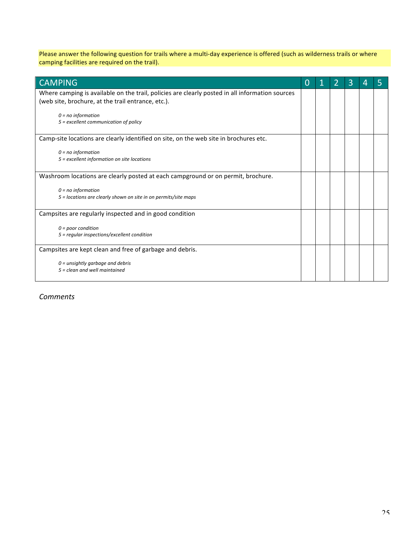Please answer the following question for trails where a multi-day experience is offered (such as wilderness trails or where camping facilities are required on the trail).

| <b>CAMPING</b>                                                                                                                                        | $\Omega$ |  | 3 | 4 |  |
|-------------------------------------------------------------------------------------------------------------------------------------------------------|----------|--|---|---|--|
| Where camping is available on the trail, policies are clearly posted in all information sources<br>(web site, brochure, at the trail entrance, etc.). |          |  |   |   |  |
| $0 = no$ information<br>5 = excellent communication of policy                                                                                         |          |  |   |   |  |
| Camp-site locations are clearly identified on site, on the web site in brochures etc.                                                                 |          |  |   |   |  |
| $0 = no$ information<br>5 = excellent information on site locations                                                                                   |          |  |   |   |  |
| Washroom locations are clearly posted at each campground or on permit, brochure.                                                                      |          |  |   |   |  |
| $0 = no$ information<br>5 = locations are clearly shown on site in on permits/site maps                                                               |          |  |   |   |  |
| Campsites are regularly inspected and in good condition                                                                                               |          |  |   |   |  |
| $0 = poor$ condition<br>5 = regular inspections/excellent condition                                                                                   |          |  |   |   |  |
| Campsites are kept clean and free of garbage and debris.                                                                                              |          |  |   |   |  |
| $0 =$ unsightly garbage and debris<br>$5 = clean$ and well maintained                                                                                 |          |  |   |   |  |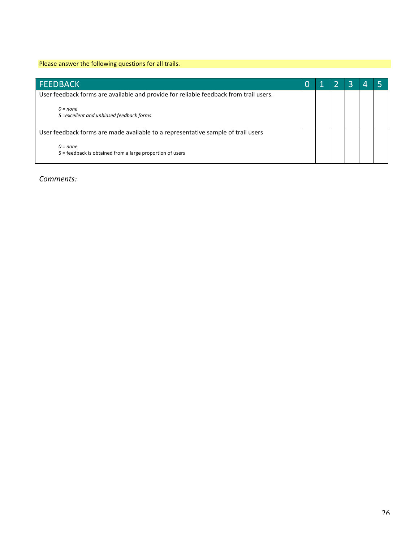#### Please answer the following questions for all trails.

| <b>FEEDBACK</b>                                                                       |  |  |  |
|---------------------------------------------------------------------------------------|--|--|--|
| User feedback forms are available and provide for reliable feedback from trail users. |  |  |  |
| $0 = none$<br>5 = excellent and unbiased feedback forms                               |  |  |  |
| User feedback forms are made available to a representative sample of trail users      |  |  |  |
| $0 = none$<br>5 = feedback is obtained from a large proportion of users               |  |  |  |